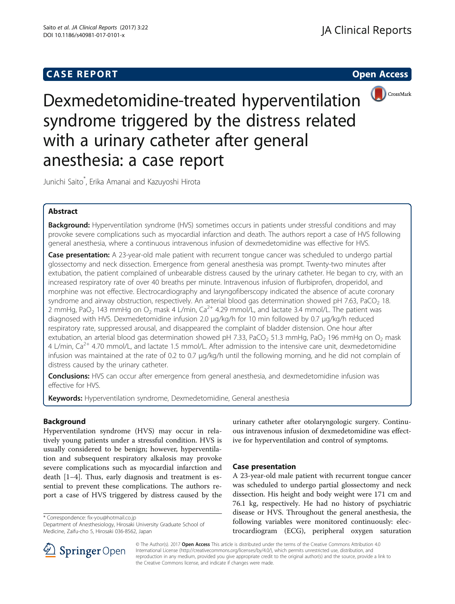# **CASE REPORT CASE REPORT CASE REPORT**



Dexmedetomidine-treated hyperventilation syndrome triggered by the distress related with a urinary catheter after general anesthesia: a case report

Junichi Saito\* , Erika Amanai and Kazuyoshi Hirota

# Abstract

Background: Hyperventilation syndrome (HVS) sometimes occurs in patients under stressful conditions and may provoke severe complications such as myocardial infarction and death. The authors report a case of HVS following general anesthesia, where a continuous intravenous infusion of dexmedetomidine was effective for HVS.

Case presentation: A 23-year-old male patient with recurrent tongue cancer was scheduled to undergo partial glossectomy and neck dissection. Emergence from general anesthesia was prompt. Twenty-two minutes after extubation, the patient complained of unbearable distress caused by the urinary catheter. He began to cry, with an increased respiratory rate of over 40 breaths per minute. Intravenous infusion of flurbiprofen, droperidol, and morphine was not effective. Electrocardiography and laryngofiberscopy indicated the absence of acute coronary syndrome and airway obstruction, respectively. An arterial blood gas determination showed pH 7.63, PaCO<sub>2</sub> 18. 2 mmHg, PaO<sub>2</sub> 143 mmHg on O<sub>2</sub> mask 4 L/min, Ca<sup>2+</sup> 4.29 mmol/L, and lactate 3.4 mmol/L. The patient was diagnosed with HVS. Dexmedetomidine infusion 2.0 μg/kg/h for 10 min followed by 0.7 μg/kg/h reduced respiratory rate, suppressed arousal, and disappeared the complaint of bladder distension. One hour after extubation, an arterial blood gas determination showed pH 7.33, PaCO<sub>2</sub> 51.3 mmHg, PaO<sub>2</sub> 196 mmHg on O<sub>2</sub> mask 4 L/min,  $Ca^{2+}$  4.70 mmol/L, and lactate 1.5 mmol/L. After admission to the intensive care unit, dexmedetomidine infusion was maintained at the rate of 0.2 to 0.7 μg/kg/h until the following morning, and he did not complain of distress caused by the urinary catheter.

**Conclusions:** HVS can occur after emergence from general anesthesia, and dexmedetomidine infusion was effective for HVS.

**Keywords:** Hyperventilation syndrome, Dexmedetomidine, General anesthesia

# Background

Hyperventilation syndrome (HVS) may occur in relatively young patients under a stressful condition. HVS is usually considered to be benign; however, hyperventilation and subsequent respiratory alkalosis may provoke severe complications such as myocardial infarction and death [[1](#page-2-0)–[4](#page-2-0)]. Thus, early diagnosis and treatment is essential to prevent these complications. The authors report a case of HVS triggered by distress caused by the

\* Correspondence: [fix-you@hotmail.co.jp](mailto:fix-you@hotmail.co.jp)

Department of Anesthesiology, Hirosaki University Graduate School of Medicine, Zaifu-cho 5, Hirosaki 036-8562, Japan

urinary catheter after otolaryngologic surgery. Continuous intravenous infusion of dexmedetomidine was effective for hyperventilation and control of symptoms.

# Case presentation

A 23-year-old male patient with recurrent tongue cancer was scheduled to undergo partial glossectomy and neck dissection. His height and body weight were 171 cm and 76.1 kg, respectively. He had no history of psychiatric disease or HVS. Throughout the general anesthesia, the following variables were monitored continuously: electrocardiogram (ECG), peripheral oxygen saturation



© The Author(s). 2017 Open Access This article is distributed under the terms of the Creative Commons Attribution 4.0 International License ([http://creativecommons.org/licenses/by/4.0/\)](http://creativecommons.org/licenses/by/4.0/), which permits unrestricted use, distribution, and reproduction in any medium, provided you give appropriate credit to the original author(s) and the source, provide a link to the Creative Commons license, and indicate if changes were made.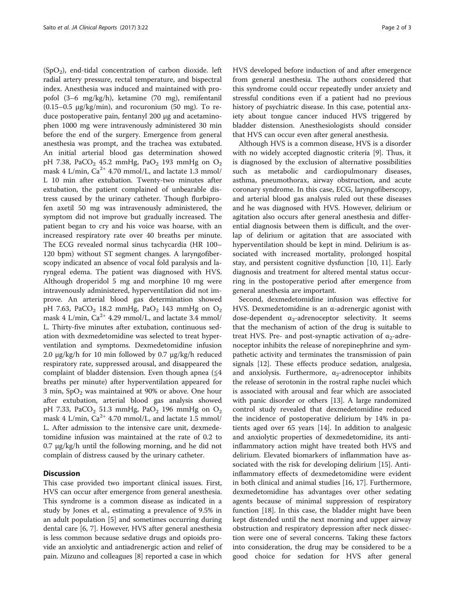$(SpO<sub>2</sub>)$ , end-tidal concentration of carbon dioxide. left radial artery pressure, rectal temperature, and bispectral index. Anesthesia was induced and maintained with propofol (3–6 mg/kg/h), ketamine (70 mg), remifentanil (0.15–0.5 μg/kg/min), and rocuronium (50 mg). To reduce postoperative pain, fentanyl 200 μg and acetaminophen 1000 mg were intravenously administered 30 min before the end of the surgery. Emergence from general anesthesia was prompt, and the trachea was extubated. An initial arterial blood gas determination showed pH 7.38, PaCO<sub>2</sub> 45.2 mmHg, PaO<sub>2</sub> 193 mmHg on O<sub>2</sub> mask 4 L/min,  $Ca^{2+}$  4.70 mmol/L, and lactate 1.3 mmol/ L 10 min after extubation. Twenty-two minutes after extubation, the patient complained of unbearable distress caused by the urinary catheter. Though flurbiprofen axetil 50 mg was intravenously administered, the symptom did not improve but gradually increased. The patient began to cry and his voice was hoarse, with an increased respiratory rate over 40 breaths per minute. The ECG revealed normal sinus tachycardia (HR 100– 120 bpm) without ST segment changes. A laryngofiberscopy indicated an absence of vocal fold paralysis and laryngeal edema. The patient was diagnosed with HVS. Although droperidol 5 mg and morphine 10 mg were intravenously administered, hyperventilation did not improve. An arterial blood gas determination showed pH 7.63, PaCO<sub>2</sub> 18.2 mmHg, PaO<sub>2</sub> 143 mmHg on  $O_2$ mask 4 L/min,  $Ca^{2+}$  4.29 mmol/L, and lactate 3.4 mmol/ L. Thirty-five minutes after extubation, continuous sedation with dexmedetomidine was selected to treat hyperventilation and symptoms. Dexmedetomidine infusion 2.0 μg/kg/h for 10 min followed by 0.7 μg/kg/h reduced respiratory rate, suppressed arousal, and disappeared the complaint of bladder distension. Even though apnea ( $\leq 4$ breaths per minute) after hyperventilation appeared for 3 min,  $SpO<sub>2</sub>$  was maintained at 90% or above. One hour after extubation, arterial blood gas analysis showed pH 7.33, PaCO<sub>2</sub> 51.3 mmHg, PaO<sub>2</sub> 196 mmHg on  $O_2$ mask 4 L/min,  $Ca^{2+}$  4.70 mmol/L, and lactate 1.5 mmol/ L. After admission to the intensive care unit, dexmedetomidine infusion was maintained at the rate of 0.2 to 0.7 μg/kg/h until the following morning, and he did not complain of distress caused by the urinary catheter.

### **Discussion**

This case provided two important clinical issues. First, HVS can occur after emergence from general anesthesia. This syndrome is a common disease as indicated in a study by Jones et al., estimating a prevalence of 9.5% in an adult population [\[5](#page-2-0)] and sometimes occurring during dental care [[6, 7\]](#page-2-0). However, HVS after general anesthesia is less common because sedative drugs and opioids provide an anxiolytic and antiadrenergic action and relief of pain. Mizuno and colleagues [\[8](#page-2-0)] reported a case in which HVS developed before induction of and after emergence from general anesthesia. The authors considered that this syndrome could occur repeatedly under anxiety and stressful conditions even if a patient had no previous history of psychiatric disease. In this case, potential anxiety about tongue cancer induced HVS triggered by bladder distension. Anesthesiologists should consider that HVS can occur even after general anesthesia.

Although HVS is a common disease, HVS is a disorder with no widely accepted diagnostic criteria [[9](#page-2-0)]. Thus, it is diagnosed by the exclusion of alternative possibilities such as metabolic and cardiopulmonary diseases, asthma, pneumothorax, airway obstruction, and acute coronary syndrome. In this case, ECG, laryngofiberscopy, and arterial blood gas analysis ruled out these diseases and he was diagnosed with HVS. However, delirium or agitation also occurs after general anesthesia and differential diagnosis between them is difficult, and the overlap of delirium or agitation that are associated with hyperventilation should be kept in mind. Delirium is associated with increased mortality, prolonged hospital stay, and persistent cognitive dysfunction [\[10](#page-2-0), [11\]](#page-2-0). Early diagnosis and treatment for altered mental status occurring in the postoperative period after emergence from general anesthesia are important.

Second, dexmedetomidine infusion was effective for HVS. Dexmedetomidine is an α-adrenergic agonist with dose-dependent  $\alpha_2$ -adrenoceptor selectivity. It seems that the mechanism of action of the drug is suitable to treat HVS. Pre- and post-synaptic activation of  $\alpha_2$ -adrenoceptor inhibits the release of norepinephrine and sympathetic activity and terminates the transmission of pain signals [[12\]](#page-2-0). These effects produce sedation, analgesia, and anxiolysis. Furthermore,  $\alpha_2$ -adrenoceptor inhibits the release of serotonin in the rostral raphe nuclei which is associated with arousal and fear which are associated with panic disorder or others [\[13\]](#page-2-0). A large randomized control study revealed that dexmedetomidine reduced the incidence of postoperative delirium by 14% in patients aged over 65 years [[14\]](#page-2-0). In addition to analgesic and anxiolytic properties of dexmedetomidine, its antiinflammatory action might have treated both HVS and delirium. Elevated biomarkers of inflammation have associated with the risk for developing delirium [[15](#page-2-0)]. Antiinflammatory effects of dexmedetomidine were evident in both clinical and animal studies [[16](#page-2-0), [17](#page-2-0)]. Furthermore, dexmedetomidine has advantages over other sedating agents because of minimal suppression of respiratory function [[18\]](#page-2-0). In this case, the bladder might have been kept distended until the next morning and upper airway obstruction and respiratory depression after neck dissection were one of several concerns. Taking these factors into consideration, the drug may be considered to be a good choice for sedation for HVS after general